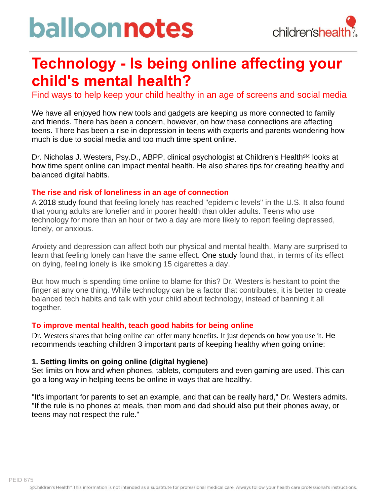# balloonnotes



# **Technology - Is being online affecting your child's mental health?**

Find ways to help keep your child healthy in an age of screens and social media

We have all enjoyed how new tools and gadgets are keeping us more connected to family and friends. There has been a concern, however, on how these connections are affecting teens. There has been a rise in depression in teens with experts and parents wondering how much is due to social media and too much time spent online.

Dr. Nicholas J. Westers, Psy.D., ABPP, clinical psychologist at Children's Health<sup>SM</sup> looks at how time spent online can impact mental health. He also shares tips for creating healthy and balanced digital habits.

#### **The rise and risk of loneliness in an age of connection**

A 2018 study found that feeling lonely has reached "epidemic levels" in the U.S. It also found that young adults are lonelier and in poorer health than older adults. Teens who use technology for more than an hour or two a day are more likely to report feeling depressed, lonely, or anxious.

Anxiety and depression can affect both our physical and mental health. Many are surprised to learn that feeling lonely can have the same effect. One study found that, in terms of its effect on dying, feeling lonely is like smoking 15 cigarettes a day.

But how much is spending time online to blame for this? Dr. Westers is hesitant to point the finger at any one thing. While technology can be a factor that contributes, it is better to create balanced tech habits and talk with your child about technology, instead of banning it all together.

#### **To improve mental health, teach good habits for being online**

Dr. Westers shares that being online can offer many benefits. It just depends on how you use it. He recommends teaching children 3 important parts of keeping healthy when going online:

#### **1. Setting limits on going online (digital hygiene)**

Set limits on how and when phones, tablets, computers and even gaming are used. This can go a long way in helping teens be online in ways that are healthy.

"It's important for parents to set an example, and that can be really hard," Dr. Westers admits. "If the rule is no phones at meals, then mom and dad should also put their phones away, or teens may not respect the rule."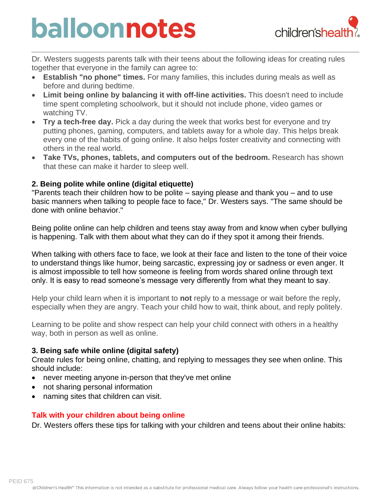# balloonnotes



Dr. Westers suggests parents talk with their teens about the following ideas for creating rules together that everyone in the family can agree to:

- **Establish "no phone" times.** For many families, this includes during meals as well as before and during bedtime.
- **Limit being online by balancing it with off-line activities.** This doesn't need to include time spent completing schoolwork, but it should not include phone, video games or watching TV.
- **Try a tech-free day.** Pick a day during the week that works best for everyone and try putting phones, gaming, computers, and tablets away for a whole day. This helps break every one of the habits of going online. It also helps foster creativity and connecting with others in the real world.
- **Take TVs, phones, tablets, and computers out of the bedroom.** Research has shown that these can make it harder to sleep well.

# **2. Being polite while online (digital etiquette)**

"Parents teach their children how to be polite – saying please and thank you – and to use basic manners when talking to people face to face," Dr. Westers says. "The same should be done with online behavior."

Being polite online can help children and teens stay away from and know when cyber bullying is happening. Talk with them about what they can do if they spot it among their friends.

When talking with others face to face, we look at their face and listen to the tone of their voice to understand things like humor, being sarcastic, expressing joy or sadness or even anger. It is almost impossible to tell how someone is feeling from words shared online through text only. It is easy to read someone's message very differently from what they meant to say.

Help your child learn when it is important to **not** reply to a message or wait before the reply, especially when they are angry. Teach your child how to wait, think about, and reply politely.

Learning to be polite and show respect can help your child connect with others in a healthy way, both in person as well as online.

# **3. Being safe while online (digital safety)**

Create rules for being online, chatting, and replying to messages they see when online. This should include:

- never meeting anyone in-person that they've met online
- not sharing personal information
- naming sites that children can visit.

# **Talk with your children about being online**

Dr. Westers offers these tips for talking with your children and teens about their online habits: